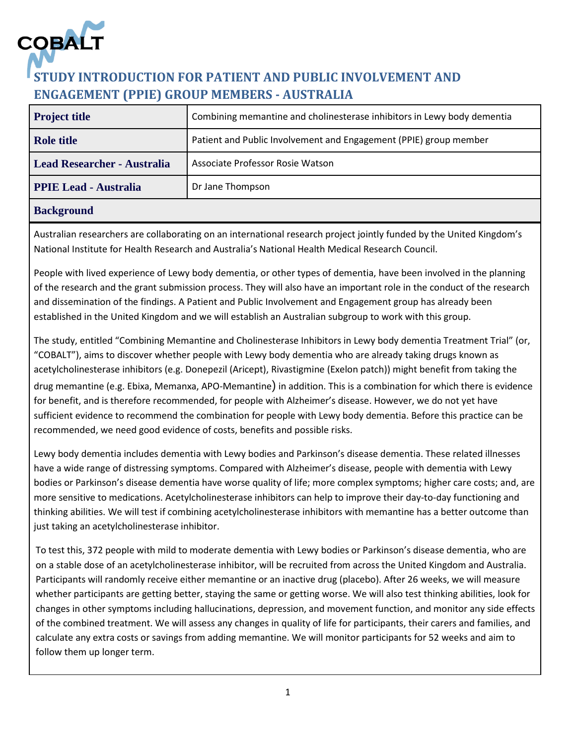

# **STUDY INTRODUCTION FOR PATIENT AND PUBLIC INVOLVEMENT AND ENGAGEMENT (PPIE) GROUP MEMBERS - AUSTRALIA**

| <b>Project title</b>               | Combining memantine and cholinesterase inhibitors in Lewy body dementia |
|------------------------------------|-------------------------------------------------------------------------|
| <b>Role title</b>                  | Patient and Public Involvement and Engagement (PPIE) group member       |
| <b>Lead Researcher - Australia</b> | Associate Professor Rosie Watson                                        |
| <b>PPIE Lead - Australia</b>       | Dr Jane Thompson                                                        |
|                                    |                                                                         |

## **Background**

Australian researchers are collaborating on an international research project jointly funded by the United Kingdom's National Institute for Health Research and Australia's National Health Medical Research Council.

People with lived experience of Lewy body dementia, or other types of dementia, have been involved in the planning of the research and the grant submission process. They will also have an important role in the conduct of the research and dissemination of the findings. A Patient and Public Involvement and Engagement group has already been established in the United Kingdom and we will establish an Australian subgroup to work with this group.

The study, entitled "Combining Memantine and Cholinesterase Inhibitors in Lewy body dementia Treatment Trial" (or, "COBALT"), aims to discover whether people with Lewy body dementia who are already taking drugs known as acetylcholinesterase inhibitors (e.g. Donepezil (Aricept), Rivastigmine (Exelon patch)) might benefit from taking the drug memantine (e.g. Ebixa, Memanxa, APO-Memantine) in addition. This is a combination for which there is evidence for benefit, and is therefore recommended, for people with Alzheimer's disease. However, we do not yet have sufficient evidence to recommend the combination for people with Lewy body dementia. Before this practice can be recommended, we need good evidence of costs, benefits and possible risks.

Lewy body dementia includes dementia with Lewy bodies and Parkinson's disease dementia. These related illnesses have a wide range of distressing symptoms. Compared with Alzheimer's disease, people with dementia with Lewy bodies or Parkinson's disease dementia have worse quality of life; more complex symptoms; higher care costs; and, are more sensitive to medications. Acetylcholinesterase inhibitors can help to improve their day-to-day functioning and thinking abilities. We will test if combining acetylcholinesterase inhibitors with memantine has a better outcome than just taking an acetylcholinesterase inhibitor.

To test this, 372 people with mild to moderate dementia with Lewy bodies or Parkinson's disease dementia, who are on a stable dose of an acetylcholinesterase inhibitor, will be recruited from across the United Kingdom and Australia. Participants will randomly receive either memantine or an inactive drug (placebo). After 26 weeks, we will measure whether participants are getting better, staying the same or getting worse. We will also test thinking abilities, look for changes in other symptoms including hallucinations, depression, and movement function, and monitor any side effects of the combined treatment. We will assess any changes in quality of life for participants, their carers and families, and calculate any extra costs or savings from adding memantine. We will monitor participants for 52 weeks and aim to follow them up longer term.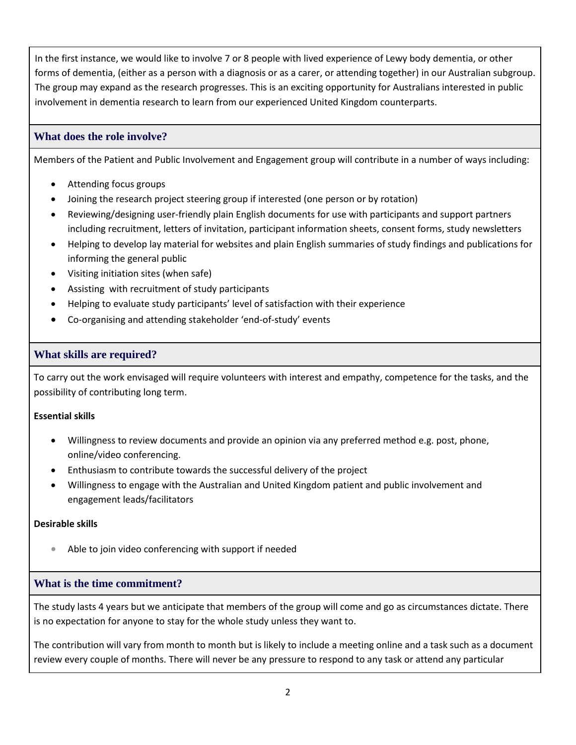In the first instance, we would like to involve 7 or 8 people with lived experience of Lewy body dementia, or other forms of dementia, (either as a person with a diagnosis or as a carer, or attending together) in our Australian subgroup. The group may expand as the research progresses. This is an exciting opportunity for Australians interested in public involvement in dementia research to learn from our experienced United Kingdom counterparts.

## **What does the role involve?**

Members of the Patient and Public Involvement and Engagement group will contribute in a number of ways including:

- Attending focus groups
- Joining the research project steering group if interested (one person or by rotation)
- Reviewing/designing user-friendly plain English documents for use with participants and support partners including recruitment, letters of invitation, participant information sheets, consent forms, study newsletters
- Helping to develop lay material for websites and plain English summaries of study findings and publications for informing the general public
- Visiting initiation sites (when safe)
- Assisting with recruitment of study participants
- Helping to evaluate study participants' level of satisfaction with their experience
- Co-organising and attending stakeholder 'end-of-study' events

### **What skills are required?**

To carry out the work envisaged will require volunteers with interest and empathy, competence for the tasks, and the possibility of contributing long term.

#### **Essential skills**

- Willingness to review documents and provide an opinion via any preferred method e.g. post, phone, online/video conferencing.
- Enthusiasm to contribute towards the successful delivery of the project
- Willingness to engage with the Australian and United Kingdom patient and public involvement and engagement leads/facilitators

#### **Desirable skills**

Able to join video conferencing with support if needed

#### **What is the time commitment?**

The study lasts 4 years but we anticipate that members of the group will come and go as circumstances dictate. There is no expectation for anyone to stay for the whole study unless they want to.

The contribution will vary from month to month but is likely to include a meeting online and a task such as a document review every couple of months. There will never be any pressure to respond to any task or attend any particular